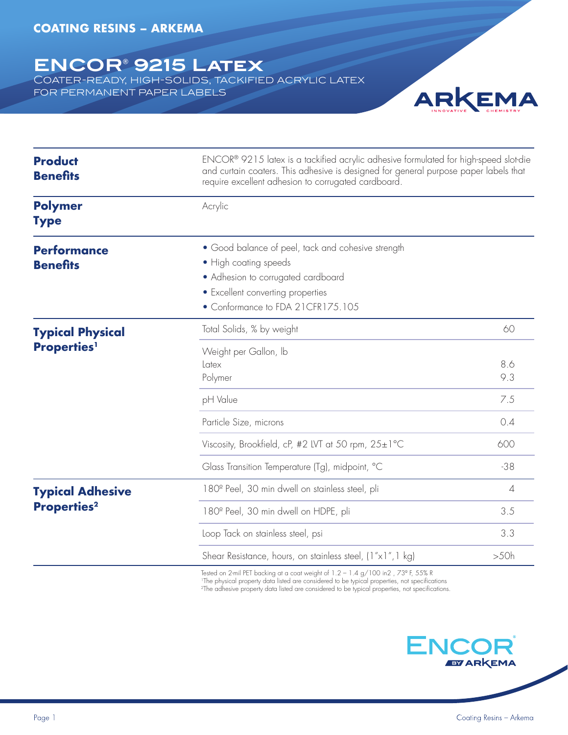## **ENCOR® 9215 Latex**

COATER-READY, HIGH-SOLIDS, TACKIFIED ACRYLIC LATEX for permanent paper labels



| <b>Product</b><br><b>Benefits</b>                         | ENCOR® 9215 latex is a tackified acrylic adhesive formulated for high-speed slot-die<br>and curtain coaters. This adhesive is designed for general purpose paper labels that<br>require excellent adhesion to corrugated cardboard. |                |
|-----------------------------------------------------------|-------------------------------------------------------------------------------------------------------------------------------------------------------------------------------------------------------------------------------------|----------------|
| <b>Polymer</b><br><b>Type</b>                             | Acrylic                                                                                                                                                                                                                             |                |
| <b>Performance</b><br><b>Benefits</b>                     | • Good balance of peel, tack and cohesive strength<br>• High coating speeds<br>• Adhesion to corrugated cardboard<br>• Excellent converting properties<br>• Conformance to FDA 21CFR175.105                                         |                |
| <b>Typical Physical</b><br><b>Properties</b> <sup>1</sup> | Total Solids, % by weight                                                                                                                                                                                                           | 60             |
|                                                           | Weight per Gallon, Ib<br>Latex<br>Polymer                                                                                                                                                                                           | 8.6<br>9.3     |
|                                                           | pH Value                                                                                                                                                                                                                            | 7.5            |
|                                                           | Particle Size, microns                                                                                                                                                                                                              | 0.4            |
|                                                           | Viscosity, Brookfield, cP, #2 LVT at 50 rpm, $25 \pm 1^{\circ}$ C                                                                                                                                                                   | 600            |
|                                                           | Glass Transition Temperature (Tg), midpoint, °C                                                                                                                                                                                     | $-38$          |
| <b>Typical Adhesive</b><br><b>Properties<sup>2</sup></b>  | 180 <sup>°</sup> Peel, 30 min dwell on stainless steel, pli                                                                                                                                                                         | $\overline{4}$ |
|                                                           | 180 <sup>°</sup> Peel, 30 min dwell on HDPE, pli                                                                                                                                                                                    | 3.5            |
|                                                           | Loop Tack on stainless steel, psi                                                                                                                                                                                                   | 3.3            |
|                                                           | Shear Resistance, hours, on stainless steel, (1"x1", 1 kg)                                                                                                                                                                          | >50h           |

Tested on 2-mil PET backing at a coat weight of 1.2 – 1.4 g/100 in2 , 73° F, 55% R<br>'The physical property data listed are considered to be typical properties, not specifications  $^{2}$ The adhesive property data listed are considered to be typical properties, not specifications.

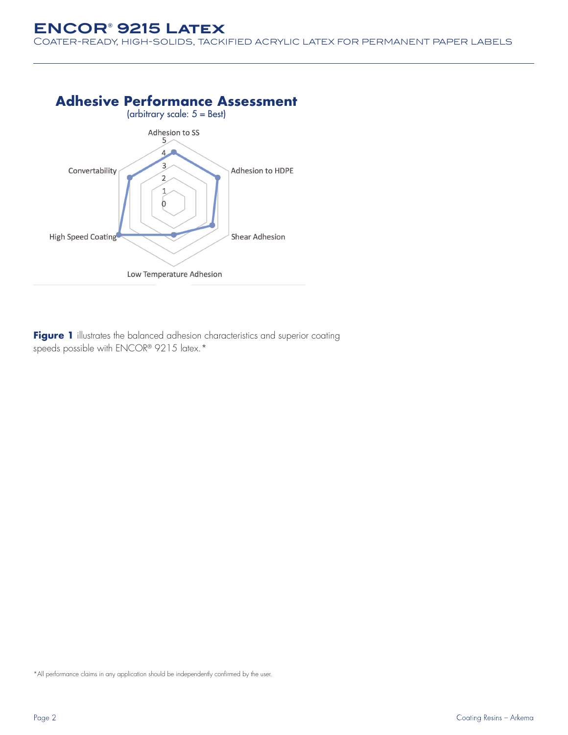## **ENCOR® 9215 Latex**

COATER-READY, HIGH-SOLIDS, TACKIFIED ACRYLIC LATEX FOR PERMANENT PAPER LABELS



Figure 1 illustrates the balanced adhesion characteristics and superior coating speeds possible with ENCOR® 9215 latex.\*

\*All performance claims in any application should be independently confirmed by the user.